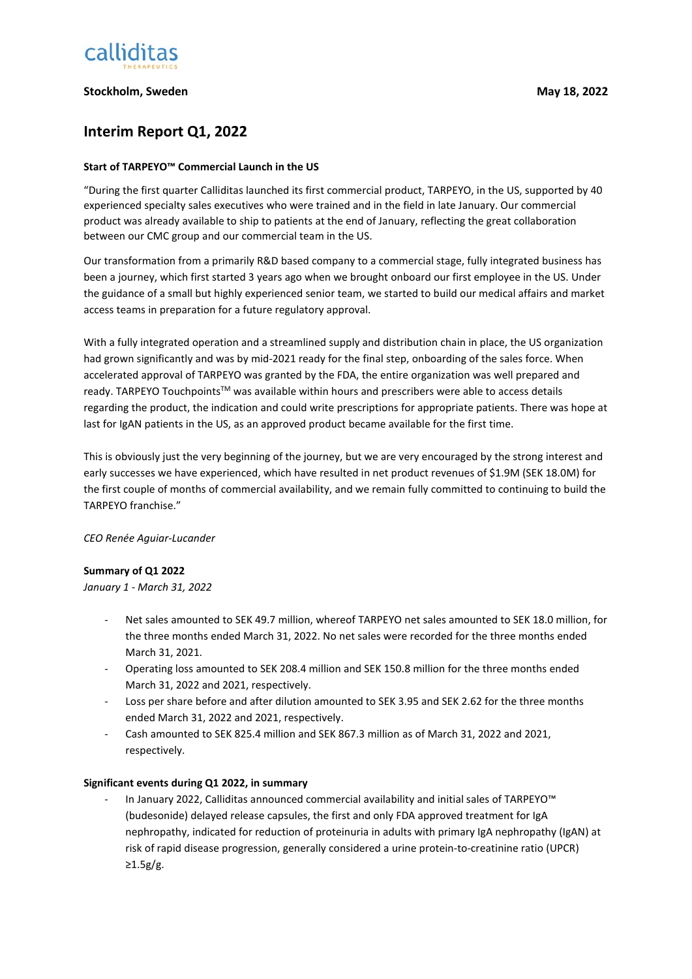

# **Stockholm, Sweden May 18, 2022**

# **Interim Report Q1, 2022**

## **Start of TARPEYO™ Commercial Launch in the US**

"During the first quarter Calliditas launched its first commercial product, TARPEYO, in the US, supported by 40 experienced specialty sales executives who were trained and in the field in late January. Our commercial product was already available to ship to patients at the end of January, reflecting the great collaboration between our CMC group and our commercial team in the US.

Our transformation from a primarily R&D based company to a commercial stage, fully integrated business has been a journey, which first started 3 years ago when we brought onboard our first employee in the US. Under the guidance of a small but highly experienced senior team, we started to build our medical affairs and market access teams in preparation for a future regulatory approval.

With a fully integrated operation and a streamlined supply and distribution chain in place, the US organization had grown significantly and was by mid-2021 ready for the final step, onboarding of the sales force. When accelerated approval of TARPEYO was granted by the FDA, the entire organization was well prepared and ready. TARPEYO Touchpoints™ was available within hours and prescribers were able to access details regarding the product, the indication and could write prescriptions for appropriate patients. There was hope at last for IgAN patients in the US, as an approved product became available for the first time.

This is obviously just the very beginning of the journey, but we are very encouraged by the strong interest and early successes we have experienced, which have resulted in net product revenues of \$1.9M (SEK 18.0M) for the first couple of months of commercial availability, and we remain fully committed to continuing to build the TARPEYO franchise."

*CEO Renée Aguiar-Lucander*

# **Summary of Q1 2022**

*January 1 - March 31, 2022*

- Net sales amounted to SEK 49.7 million, whereof TARPEYO net sales amounted to SEK 18.0 million, for the three months ended March 31, 2022. No net sales were recorded for the three months ended March 31, 2021.
- Operating loss amounted to SEK 208.4 million and SEK 150.8 million for the three months ended March 31, 2022 and 2021, respectively.
- Loss per share before and after dilution amounted to SEK 3.95 and SEK 2.62 for the three months ended March 31, 2022 and 2021, respectively.
- Cash amounted to SEK 825.4 million and SEK 867.3 million as of March 31, 2022 and 2021, respectively.

### **Significant events during Q1 2022, in summary**

- In January 2022, Calliditas announced commercial availability and initial sales of TARPEYO™ (budesonide) delayed release capsules, the first and only FDA approved treatment for IgA nephropathy, indicated for reduction of proteinuria in adults with primary IgA nephropathy (IgAN) at risk of rapid disease progression, generally considered a urine protein-to-creatinine ratio (UPCR) ≥1.5g/g.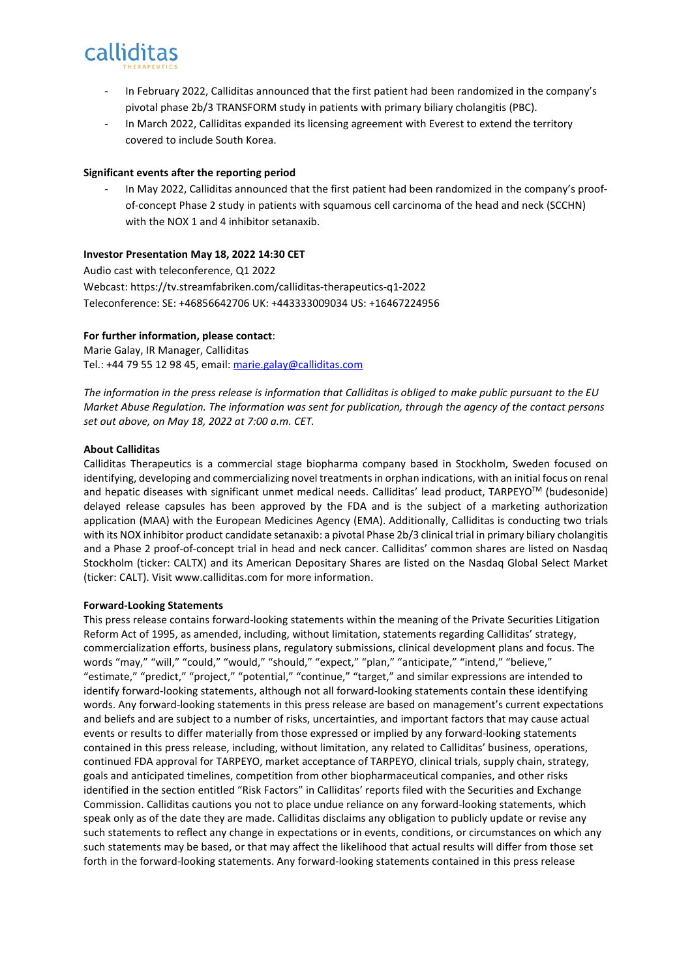

- In February 2022, Calliditas announced that the first patient had been randomized in the company's pivotal phase 2b/3 TRANSFORM study in patients with primary biliary cholangitis (PBC).
- In March 2022, Calliditas expanded its licensing agreement with Everest to extend the territory covered to include South Korea.

#### **Significant events after the reporting period**

In May 2022, Calliditas announced that the first patient had been randomized in the company's proofof-concept Phase 2 study in patients with squamous cell carcinoma of the head and neck (SCCHN) with the NOX 1 and 4 inhibitor setanaxib.

#### **Investor Presentation May 18, 2022 14:30 CET**

Audio cast with teleconference, Q1 2022 Webcast: https://tv.streamfabriken.com/calliditas-therapeutics-q1-2022 Teleconference: SE: +46856642706 UK: +443333009034 US: +16467224956

#### **For further information, please contact**:

Marie Galay, IR Manager, Calliditas Tel.: +44 79 55 12 98 45, email[: marie.galay@calliditas.com](mailto:marie.galay@calliditas.com)

*The information in the press release is information that Calliditas is obliged to make public pursuant to the EU Market Abuse Regulation. The information was sent for publication, through the agency of the contact persons set out above, on May 18, 2022 at 7:00 a.m. CET.*

#### **About Calliditas**

Calliditas Therapeutics is a commercial stage biopharma company based in Stockholm, Sweden focused on identifying, developing and commercializing novel treatments in orphan indications, with an initial focus on renal and hepatic diseases with significant unmet medical needs. Calliditas' lead product, TARPEYO<sup>TM</sup> (budesonide) delayed release capsules has been approved by the FDA and is the subject of a marketing authorization application (MAA) with the European Medicines Agency (EMA). Additionally, Calliditas is conducting two trials with its NOX inhibitor product candidate setanaxib: a pivotal Phase 2b/3 clinical trial in primary biliary cholangitis and a Phase 2 proof-of-concept trial in head and neck cancer. Calliditas' common shares are listed on Nasdaq Stockholm (ticker: CALTX) and its American Depositary Shares are listed on the Nasdaq Global Select Market (ticker: CALT). Visit www.calliditas.com for more information.

#### **Forward-Looking Statements**

This press release contains forward-looking statements within the meaning of the Private Securities Litigation Reform Act of 1995, as amended, including, without limitation, statements regarding Calliditas' strategy, commercialization efforts, business plans, regulatory submissions, clinical development plans and focus. The words "may," "will," "could," "would," "should," "expect," "plan," "anticipate," "intend," "believe," "estimate," "predict," "project," "potential," "continue," "target," and similar expressions are intended to identify forward-looking statements, although not all forward-looking statements contain these identifying words. Any forward-looking statements in this press release are based on management's current expectations and beliefs and are subject to a number of risks, uncertainties, and important factors that may cause actual events or results to differ materially from those expressed or implied by any forward-looking statements contained in this press release, including, without limitation, any related to Calliditas' business, operations, continued FDA approval for TARPEYO, market acceptance of TARPEYO, clinical trials, supply chain, strategy, goals and anticipated timelines, competition from other biopharmaceutical companies, and other risks identified in the section entitled "Risk Factors" in Calliditas' reports filed with the Securities and Exchange Commission. Calliditas cautions you not to place undue reliance on any forward-looking statements, which speak only as of the date they are made. Calliditas disclaims any obligation to publicly update or revise any such statements to reflect any change in expectations or in events, conditions, or circumstances on which any such statements may be based, or that may affect the likelihood that actual results will differ from those set forth in the forward-looking statements. Any forward-looking statements contained in this press release